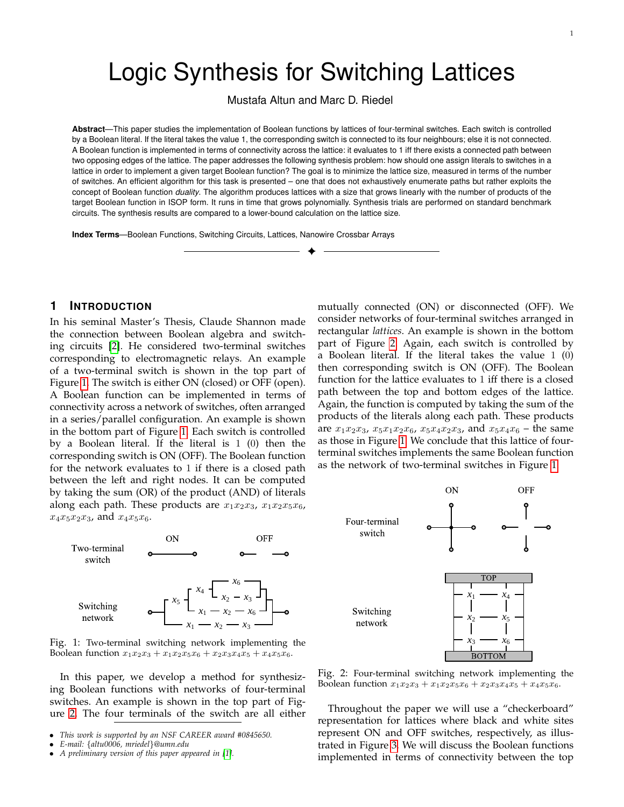# Logic Synthesis for Switching Lattices

Mustafa Altun and Marc D. Riedel

**Abstract**—This paper studies the implementation of Boolean functions by lattices of four-terminal switches. Each switch is controlled by a Boolean literal. If the literal takes the value 1, the corresponding switch is connected to its four neighbours; else it is not connected. A Boolean function is implemented in terms of connectivity across the lattice: it evaluates to 1 iff there exists a connected path between two opposing edges of the lattice. The paper addresses the following synthesis problem: how should one assign literals to switches in a lattice in order to implement a given target Boolean function? The goal is to minimize the lattice size, measured in terms of the number of switches. An efficient algorithm for this task is presented – one that does not exhaustively enumerate paths but rather exploits the concept of Boolean function *duality*. The algorithm produces lattices with a size that grows linearly with the number of products of the target Boolean function in ISOP form. It runs in time that grows polynomially. Synthesis trials are performed on standard benchmark circuits. The synthesis results are compared to a lower-bound calculation on the lattice size.

✦

**Index Terms**—Boolean Functions, Switching Circuits, Lattices, Nanowire Crossbar Arrays

#### **1 INTRODUCTION**

In his seminal Master's Thesis, Claude Shannon made the connection between Boolean algebra and switching circuits [\[2\]](#page-12-0). He considered two-terminal switches corresponding to electromagnetic relays. An example of a two-terminal switch is shown in the top part of Figure [1.](#page-0-0) The switch is either ON (closed) or OFF (open). A Boolean function can be implemented in terms of connectivity across a network of switches, often arranged in a series/parallel configuration. An example is shown in the bottom part of Figure [1.](#page-0-0) Each switch is controlled by a Boolean literal. If the literal is 1 (0) then the corresponding switch is ON (OFF). The Boolean function for the network evaluates to 1 if there is a closed path between the left and right nodes. It can be computed by taking the sum (OR) of the product (AND) of literals along each path. These products are  $x_1x_2x_3$ ,  $x_1x_2x_5x_6$ ,  $x_4x_5x_2x_3$ , and  $x_4x_5x_6$ .

<span id="page-0-0"></span>

Fig. 1: Two-terminal switching network implementing the Boolean function  $x_1x_2x_3 + x_1x_2x_5x_6 + x_2x_3x_4x_5 + x_4x_5x_6$ .

In this paper, we develop a method for synthesizing Boolean functions with networks of four-terminal switches. An example is shown in the top part of Figure [2.](#page-0-1) The four terminals of the switch are all either

mutually connected (ON) or disconnected (OFF). We consider networks of four-terminal switches arranged in rectangular *lattices*. An example is shown in the bottom part of Figure [2.](#page-0-1) Again, each switch is controlled by a Boolean literal. If the literal takes the value 1 (0) then corresponding switch is ON (OFF). The Boolean function for the lattice evaluates to 1 iff there is a closed path between the top and bottom edges of the lattice. Again, the function is computed by taking the sum of the products of the literals along each path. These products are  $x_1x_2x_3$ ,  $x_5x_1x_2x_6$ ,  $x_5x_4x_2x_3$ , and  $x_5x_4x_6$  – the same as those in Figure [1.](#page-0-0) We conclude that this lattice of fourterminal switches implements the same Boolean function as the network of two-terminal switches in Figure [1.](#page-0-0)

<span id="page-0-1"></span>

Fig. 2: Four-terminal switching network implementing the Boolean function  $x_1x_2x_3 + x_1x_2x_5x_6 + x_2x_3x_4x_5 + x_4x_5x_6$ .

Throughout the paper we will use a "checkerboard" representation for lattices where black and white sites represent ON and OFF switches, respectively, as illustrated in Figure [3.](#page-1-0) We will discuss the Boolean functions implemented in terms of connectivity between the top

<sup>•</sup> *This work is supported by an NSF CAREER award #0845650.*

<sup>•</sup> *E-mail:* {*altu0006, mriedel*}*@umn.edu*

<sup>•</sup> *A preliminary version of this paper appeared in [\[1\]](#page-12-1).*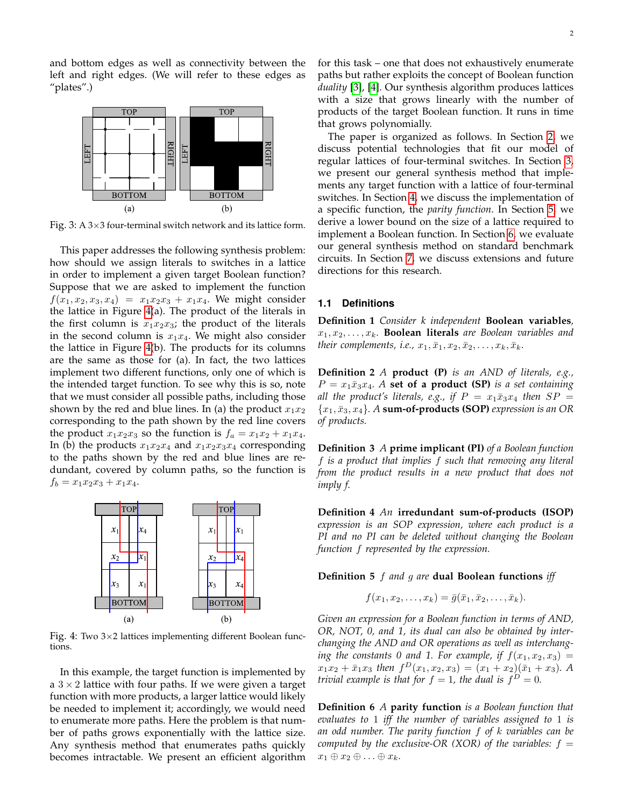and bottom edges as well as connectivity between the left and right edges. (We will refer to these edges as "plates".)

<span id="page-1-0"></span>

Fig. 3: A  $3\times3$  four-terminal switch network and its lattice form.

This paper addresses the following synthesis problem: how should we assign literals to switches in a lattice in order to implement a given target Boolean function? Suppose that we are asked to implement the function  $f(x_1, x_2, x_3, x_4) = x_1x_2x_3 + x_1x_4$ . We might consider the lattice in Figure [4\(](#page-1-1)a). The product of the literals in the first column is  $x_1x_2x_3$ ; the product of the literals in the second column is  $x_1x_4$ . We might also consider the lattice in Figure [4\(](#page-1-1)b). The products for its columns are the same as those for (a). In fact, the two lattices implement two different functions, only one of which is the intended target function. To see why this is so, note that we must consider all possible paths, including those shown by the red and blue lines. In (a) the product  $x_1x_2$ corresponding to the path shown by the red line covers the product  $x_1x_2x_3$  so the function is  $f_a = x_1x_2 + x_1x_4$ . In (b) the products  $x_1x_2x_4$  and  $x_1x_2x_3x_4$  corresponding to the paths shown by the red and blue lines are redundant, covered by column paths, so the function is  $f_b = x_1x_2x_3 + x_1x_4.$ 

<span id="page-1-1"></span>

Fig. 4: Two  $3\times2$  lattices implementing different Boolean functions.

In this example, the target function is implemented by a  $3 \times 2$  lattice with four paths. If we were given a target function with more products, a larger lattice would likely be needed to implement it; accordingly, we would need to enumerate more paths. Here the problem is that number of paths grows exponentially with the lattice size. Any synthesis method that enumerates paths quickly becomes intractable. We present an efficient algorithm

for this task – one that does not exhaustively enumerate paths but rather exploits the concept of Boolean function *duality* [\[3\]](#page-12-2), [\[4\]](#page-12-3). Our synthesis algorithm produces lattices with a size that grows linearly with the number of products of the target Boolean function. It runs in time that grows polynomially.

The paper is organized as follows. In Section [2,](#page-2-0) we discuss potential technologies that fit our model of regular lattices of four-terminal switches. In Section [3,](#page-3-0) we present our general synthesis method that implements any target function with a lattice of four-terminal switches. In Section [4,](#page-6-0) we discuss the implementation of a specific function, the *parity function*. In Section [5,](#page-7-0) we derive a lower bound on the size of a lattice required to implement a Boolean function. In Section [6,](#page-10-0) we evaluate our general synthesis method on standard benchmark circuits. In Section [7,](#page-10-1) we discuss extensions and future directions for this research.

#### <span id="page-1-2"></span>**1.1 Definitions**

**Definition 1** *Consider k independent* **Boolean variables***,*  $x_1, x_2, \ldots, x_k$ . **Boolean literals** are Boolean variables and *their complements, i.e.,*  $x_1, \bar{x}_1, x_2, \bar{x}_2, \ldots, x_k, \bar{x}_k$ .

**Definition 2** *A* **product (P)** *is an AND of literals, e.g.,*  $P = x_1 \bar{x}_3 x_4$ . A **set of a product (SP)** *is a set containing all the product's literals, e.g., if*  $P = x_1 \bar{x}_3 x_4$  *then*  $SP = x_2 \bar{x}_4$  ${x_1, \bar{x}_3, x_4}$ . A **sum-of-products (SOP)** expression is an OR *of products.*

**Definition 3** *A* **prime implicant (PI)** *of a Boolean function* f *is a product that implies* f *such that removing any literal from the product results in a new product that does not imply f.*

**Definition 4** *An* **irredundant sum-of-products (ISOP)** *expression is an SOP expression, where each product is a PI and no PI can be deleted without changing the Boolean function* f *represented by the expression.*

#### **Definition 5** f *and* g *are* **dual Boolean functions** *iff*

$$
f(x_1,x_2,\ldots,x_k)=\overline{g}(\overline{x}_1,\overline{x}_2,\ldots,\overline{x}_k).
$$

*Given an expression for a Boolean function in terms of AND, OR, NOT, 0, and 1, its dual can also be obtained by interchanging the AND and OR operations as well as interchanging the constants 0 and 1. For example, if*  $f(x_1, x_2, x_3) =$  $x_1x_2 + \bar{x}_1x_3$  then  $f^D(x_1, x_2, x_3) = (x_1 + x_2)(\bar{x}_1 + x_3)$ . A *trivial example is that for*  $f = 1$ , the dual is  $f^D = 0$ .

**Definition 6** *A* **parity function** *is a Boolean function that evaluates to* 1 *iff the number of variables assigned to* 1 *is an odd number. The parity function* f *of* k *variables can be computed by the exclusive-OR (XOR) of the variables:*  $f =$  $x_1 \oplus x_2 \oplus \ldots \oplus x_k$ .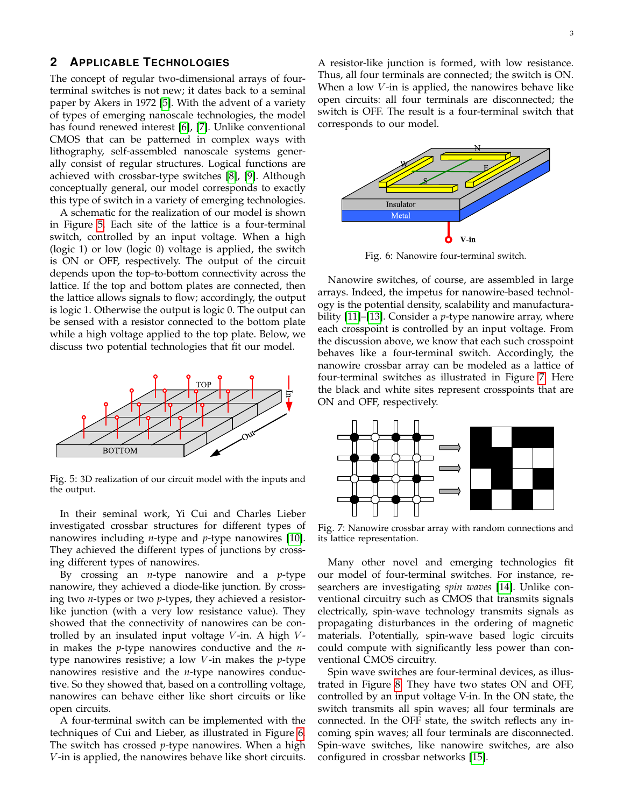# <span id="page-2-0"></span>**2 APPLICABLE TECHNOLOGIES**

The concept of regular two-dimensional arrays of fourterminal switches is not new; it dates back to a seminal paper by Akers in 1972 [\[5\]](#page-12-4). With the advent of a variety of types of emerging nanoscale technologies, the model has found renewed interest [\[6\]](#page-12-5), [\[7\]](#page-12-6). Unlike conventional CMOS that can be patterned in complex ways with lithography, self-assembled nanoscale systems generally consist of regular structures. Logical functions are achieved with crossbar-type switches [\[8\]](#page-12-7), [\[9\]](#page-12-8). Although conceptually general, our model corresponds to exactly this type of switch in a variety of emerging technologies.

A schematic for the realization of our model is shown in Figure [5.](#page-2-1) Each site of the lattice is a four-terminal switch, controlled by an input voltage. When a high (logic 1) or low (logic 0) voltage is applied, the switch is ON or OFF, respectively. The output of the circuit depends upon the top-to-bottom connectivity across the lattice. If the top and bottom plates are connected, then the lattice allows signals to flow; accordingly, the output is logic 1. Otherwise the output is logic 0. The output can be sensed with a resistor connected to the bottom plate while a high voltage applied to the top plate. Below, we discuss two potential technologies that fit our model.

<span id="page-2-1"></span>

Fig. 5: 3D realization of our circuit model with the inputs and the output.

In their seminal work, Yi Cui and Charles Lieber investigated crossbar structures for different types of nanowires including *n*-type and *p*-type nanowires [\[10\]](#page-12-9). They achieved the different types of junctions by crossing different types of nanowires.

By crossing an *n*-type nanowire and a *p*-type nanowire, they achieved a diode-like junction. By crossing two *n*-types or two *p*-types, they achieved a resistorlike junction (with a very low resistance value). They showed that the connectivity of nanowires can be controlled by an insulated input voltage  $V$ -in. A high  $V$ in makes the *p*-type nanowires conductive and the *n*type nanowires resistive; a low V -in makes the *p*-type nanowires resistive and the *n*-type nanowires conductive. So they showed that, based on a controlling voltage, nanowires can behave either like short circuits or like open circuits.

A four-terminal switch can be implemented with the techniques of Cui and Lieber, as illustrated in Figure [6.](#page-2-2) The switch has crossed *p*-type nanowires. When a high V -in is applied, the nanowires behave like short circuits. A resistor-like junction is formed, with low resistance. Thus, all four terminals are connected; the switch is ON. When a low V-in is applied, the nanowires behave like open circuits: all four terminals are disconnected; the switch is OFF. The result is a four-terminal switch that corresponds to our model.

<span id="page-2-2"></span>

Fig. 6: Nanowire four-terminal switch.

Nanowire switches, of course, are assembled in large arrays. Indeed, the impetus for nanowire-based technology is the potential density, scalability and manufacturability [\[11\]](#page-12-10)–[\[13\]](#page-12-11). Consider a *p*-type nanowire array, where each crosspoint is controlled by an input voltage. From the discussion above, we know that each such crosspoint behaves like a four-terminal switch. Accordingly, the nanowire crossbar array can be modeled as a lattice of four-terminal switches as illustrated in Figure [7.](#page-2-3) Here the black and white sites represent crosspoints that are ON and OFF, respectively.

<span id="page-2-3"></span>

Fig. 7: Nanowire crossbar array with random connections and its lattice representation.

Many other novel and emerging technologies fit our model of four-terminal switches. For instance, researchers are investigating *spin waves* [\[14\]](#page-12-12). Unlike conventional circuitry such as CMOS that transmits signals electrically, spin-wave technology transmits signals as propagating disturbances in the ordering of magnetic materials. Potentially, spin-wave based logic circuits could compute with significantly less power than conventional CMOS circuitry.

Spin wave switches are four-terminal devices, as illustrated in Figure [8.](#page-3-1) They have two states ON and OFF, controlled by an input voltage V-in. In the ON state, the switch transmits all spin waves; all four terminals are connected. In the OFF state, the switch reflects any incoming spin waves; all four terminals are disconnected. Spin-wave switches, like nanowire switches, are also configured in crossbar networks [\[15\]](#page-12-13).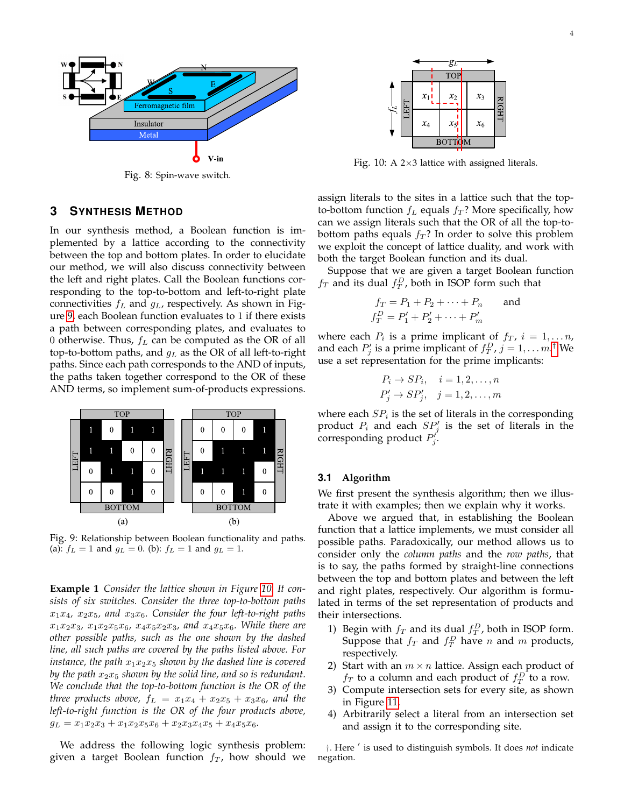<span id="page-3-1"></span>

Fig. 8: Spin-wave switch.

### <span id="page-3-0"></span>**3 SYNTHESIS METHOD**

In our synthesis method, a Boolean function is implemented by a lattice according to the connectivity between the top and bottom plates. In order to elucidate our method, we will also discuss connectivity between the left and right plates. Call the Boolean functions corresponding to the top-to-bottom and left-to-right plate connectivities  $f_L$  and  $g_L$ , respectively. As shown in Figure [9,](#page-3-2) each Boolean function evaluates to 1 if there exists a path between corresponding plates, and evaluates to 0 otherwise. Thus,  $f_L$  can be computed as the OR of all top-to-bottom paths, and  $g_L$  as the OR of all left-to-right paths. Since each path corresponds to the AND of inputs, the paths taken together correspond to the OR of these AND terms, so implement sum-of-products expressions.

<span id="page-3-2"></span>

Fig. 9: Relationship between Boolean functionality and paths. (a):  $f_L = 1$  and  $g_L = 0$ . (b):  $f_L = 1$  and  $g_L = 1$ .

**Example 1** *Consider the lattice shown in Figure [10.](#page-3-3) It consists of six switches. Consider the three top-to-bottom paths*  $x_1x_4$ ,  $x_2x_5$ , and  $x_3x_6$ . Consider the four left-to-right paths  $x_1x_2x_3, x_1x_2x_5x_6, x_4x_5x_2x_3,$  and  $x_4x_5x_6$ *. While there are other possible paths, such as the one shown by the dashed line, all such paths are covered by the paths listed above. For instance, the path*  $x_1x_2x_5$  *shown by the dashed line is covered by the path*  $x_2x_5$  *shown by the solid line, and so is redundant. We conclude that the top-to-bottom function is the OR of the three products above,*  $f_L = x_1x_4 + x_2x_5 + x_3x_6$ *, and the left-to-right function is the OR of the four products above,*  $g_L = x_1x_2x_3 + x_1x_2x_5x_6 + x_2x_3x_4x_5 + x_4x_5x_6.$ 

We address the following logic synthesis problem: given a target Boolean function  $f<sub>T</sub>$ , how should we

<span id="page-3-3"></span>

Fig. 10: A  $2\times3$  lattice with assigned literals.

assign literals to the sites in a lattice such that the topto-bottom function  $f_L$  equals  $f_T$ ? More specifically, how can we assign literals such that the OR of all the top-tobottom paths equals  $f_T$ ? In order to solve this problem we exploit the concept of lattice duality, and work with both the target Boolean function and its dual.

Suppose that we are given a target Boolean function  $f_T$  and its dual  $f_T^D$ , both in ISOP form such that

$$
f_T = P_1 + P_2 + \dots + P_n
$$
 and  
\n $f_T^D = P'_1 + P'_2 + \dots + P'_m$ 

where each  $P_i$  is a prime implicant of  $f_T$ ,  $i = 1, \ldots n$ , and each  $P'_j$  is a prime implicant of  $f_T^D$ ,  $j = 1, \ldots m$ .<sup>[†](#page-3-4)</sup> We use a set representation for the prime implicants:

$$
P_i \rightarrow SP_i, \quad i = 1, 2, \dots, n
$$
  

$$
P'_j \rightarrow SP'_j, \quad j = 1, 2, \dots, m
$$

where each  $SP_i$  is the set of literals in the corresponding product  $P_i$  and each  $SP'_j$  is the set of literals in the corresponding product  $P'_j$ .

#### **3.1 Algorithm**

We first present the synthesis algorithm; then we illustrate it with examples; then we explain why it works.

Above we argued that, in establishing the Boolean function that a lattice implements, we must consider all possible paths. Paradoxically, our method allows us to consider only the *column paths* and the *row paths*, that is to say, the paths formed by straight-line connections between the top and bottom plates and between the left and right plates, respectively. Our algorithm is formulated in terms of the set representation of products and their intersections.

- 1) Begin with  $f_T$  and its dual  $f_T^D$ , both in ISOP form. Suppose that  $f_T$  and  $f_T^D$  have n and m products, respectively.
- 2) Start with an  $m \times n$  lattice. Assign each product of  $f_T$  to a column and each product of  $f_T^D$  to a row.
- 3) Compute intersection sets for every site, as shown in Figure [11.](#page-4-0)
- 4) Arbitrarily select a literal from an intersection set and assign it to the corresponding site.

<span id="page-3-4"></span><sup>†</sup>. Here ' is used to distinguish symbols. It does *not* indicate negation.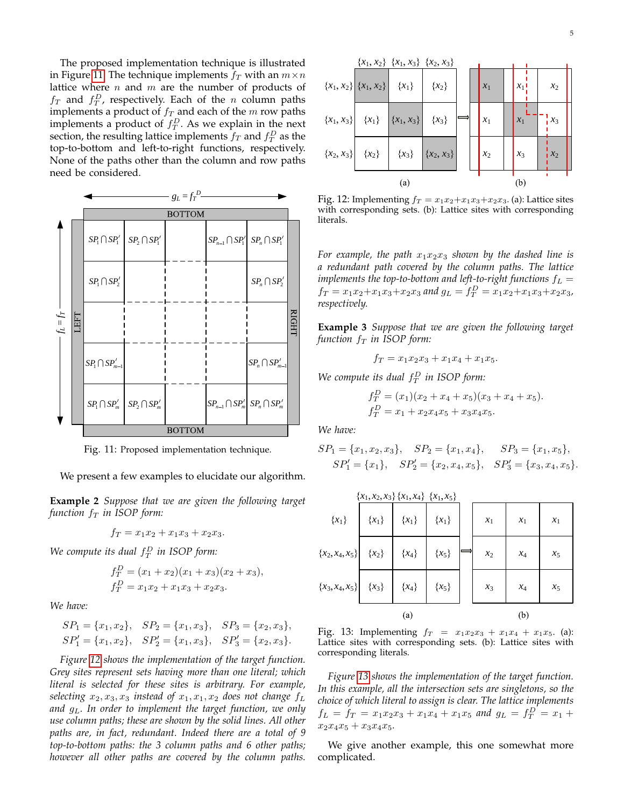The proposed implementation technique is illustrated in Figure [11.](#page-4-0) The technique implements  $f_T$  with an  $m \times n$ lattice where n and m are the number of products of  $f_T$  and  $f_T^D$ , respectively. Each of the n column paths implements a product of  $f_T$  and each of the  $m$  row paths implements a product of  $f_T^D$ . As we explain in the next section, the resulting lattice implements  $f_T$  and  $f_T^D$  as the top-to-bottom and left-to-right functions, respectively. None of the paths other than the column and row paths need be considered.

<span id="page-4-0"></span>

Fig. 11: Proposed implementation technique.

We present a few examples to elucidate our algorithm.

**Example 2** *Suppose that we are given the following target function*  $f_T$  *in ISOP form:* 

$$
f_T = x_1 x_2 + x_1 x_3 + x_2 x_3.
$$

We compute its dual  $f_T^D$  in ISOP form:

$$
f_T^D = (x_1 + x_2)(x_1 + x_3)(x_2 + x_3),
$$
  
\n
$$
f_T^D = x_1 x_2 + x_1 x_3 + x_2 x_3.
$$

*We have:*

$$
SP_1 = \{x_1, x_2\}, \quad SP_2 = \{x_1, x_3\}, \quad SP_3 = \{x_2, x_3\},
$$
  
\n $SP'_1 = \{x_1, x_2\}, \quad SP'_2 = \{x_1, x_3\}, \quad SP'_3 = \{x_2, x_3\}.$ 

*Figure [12](#page-4-1) shows the implementation of the target function. Grey sites represent sets having more than one literal; which literal is selected for these sites is arbitrary. For example, selecting*  $x_2, x_3, x_3$  *instead of*  $x_1, x_1, x_2$  *does not change*  $f_L$ *and* gL*. In order to implement the target function, we only use column paths; these are shown by the solid lines. All other paths are, in fact, redundant. Indeed there are a total of 9 top-to-bottom paths: the 3 column paths and 6 other paths; however all other paths are covered by the column paths.*

<span id="page-4-1"></span>

Fig. 12: Implementing  $f_T = x_1x_2+x_1x_3+x_2x_3$ . (a): Lattice sites with corresponding sets. (b): Lattice sites with corresponding literals.

For example, the path  $x_1x_2x_3$  shown by the dashed line is *a redundant path covered by the column paths. The lattice implements the top-to-bottom and left-to-right functions*  $f_L =$  $f_T = x_1x_2 + x_1x_3 + x_2x_3$  and  $g_L = f_T^D = x_1x_2 + x_1x_3 + x_2x_3$ , *respectively.*

**Example 3** *Suppose that we are given the following target function*  $f_T$  *in ISOP form:* 

$$
f_T = x_1 x_2 x_3 + x_1 x_4 + x_1 x_5.
$$

We compute its dual  $f_T^D$  in ISOP form:

$$
f_T^D = (x_1)(x_2 + x_4 + x_5)(x_3 + x_4 + x_5).
$$
  
\n
$$
f_T^D = x_1 + x_2x_4x_5 + x_3x_4x_5.
$$

*We have:*

$$
SP_1 = \{x_1, x_2, x_3\}, \quad SP_2 = \{x_1, x_4\}, \quad SP_3 = \{x_1, x_5\},
$$
  

$$
SP'_1 = \{x_1\}, \quad SP'_2 = \{x_2, x_4, x_5\}, \quad SP'_3 = \{x_3, x_4, x_5\}.
$$

<span id="page-4-2"></span>

|                   | ${x_1, x_2, x_3} {x_1, x_4} {x_1, x_5}$ |           |           |       |       |       |
|-------------------|-----------------------------------------|-----------|-----------|-------|-------|-------|
| $\{x_1\}$         | $\{x_1\}$                               | $\{x_1\}$ | ${x_1}$   | $x_1$ | $x_1$ | $x_1$ |
| ${x_2, x_4, x_5}$ | ${x_2}$                                 | ${x_4}$   | $\{x_5\}$ | $x_2$ | $x_4$ | $x_5$ |
| ${x_3, x_4, x_5}$ | ${x_3}$                                 | ${x_4}$   | ${x_5}$   | $x_3$ | $x_4$ | $x_5$ |
|                   |                                         | (a)       |           |       | (b)   |       |

Fig. 13: Implementing  $f_T = x_1x_2x_3 + x_1x_4 + x_1x_5$ . (a): Lattice sites with corresponding sets. (b): Lattice sites with corresponding literals.

*Figure [13](#page-4-2) shows the implementation of the target function. In this example, all the intersection sets are singletons, so the choice of which literal to assign is clear. The lattice implements*  $f_L = f_T = x_1x_2x_3 + x_1x_4 + x_1x_5$  and  $g_L = f_T^D = x_1 + x_2x_3 + x_1x_4 + x_1x_5$  $x_2x_4x_5 + x_3x_4x_5$ 

We give another example, this one somewhat more complicated.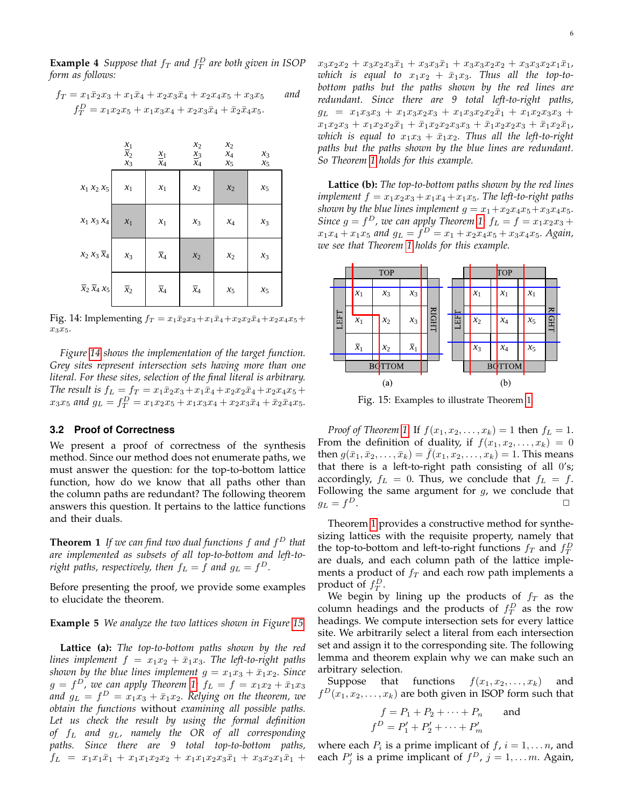**Example 4** Suppose that  $f_T$  and  $f_T^D$  are both given in ISOP *form as follows:*

$$
f_T = x_1 \bar{x}_2 x_3 + x_1 \bar{x}_4 + x_2 x_3 \bar{x}_4 + x_2 x_4 x_5 + x_3 x_5
$$
 and  

$$
f_T^D = x_1 x_2 x_5 + x_1 x_3 x_4 + x_2 x_3 \bar{x}_4 + \bar{x}_2 \bar{x}_4 x_5.
$$

<span id="page-5-0"></span>

|                                     | $\frac{x_1}{x_2}$<br>$x_3$ | $\underline{x}_1$<br>$x_4$ | $x_2$<br>$\mathfrak{L}_3$<br>$x_4$ | $x_2$<br>$x_4$<br>$x_5$ | $x_3$<br>$x_5$ |
|-------------------------------------|----------------------------|----------------------------|------------------------------------|-------------------------|----------------|
| $x_1 x_2 x_5$                       | $x_1$                      | $x_1$                      | $x_2$                              | $x_2$                   | $x_5$          |
| $x_1 x_3 x_4$                       | $x_1$                      | $x_1$                      | $x_3$                              | $x_4$                   | $x_3$          |
| $x_2 x_3 \overline{x}_4$            | $x_3$                      | $\overline{x}_4$           | $x_2$                              | $x_2\,$                 | $x_3$          |
| $\overline{x}_2 \overline{x}_4 x_5$ | $\overline{x}_2$           | $\overline{x}_4$           | $\overline{x}_4$                   | $x_5$                   | $x_5$          |

Fig. 14: Implementing  $f_T = x_1\bar{x}_2x_3 + x_1\bar{x}_4 + x_2x_2\bar{x}_4 + x_2x_4x_5 +$  $x_3x_5.$ 

*Figure [14](#page-5-0) shows the implementation of the target function. Grey sites represent intersection sets having more than one literal. For these sites, selection of the final literal is arbitrary. The result is*  $f_L = f_T = x_1 \bar{x}_2 x_3 + x_1 \bar{x}_4 + x_2 x_2 \bar{x}_4 + x_2 x_4 x_5 +$  $x_3x_5$  and  $g_L = f_T^D = x_1x_2x_5 + x_1x_3x_4 + x_2x_3\bar{x}_4 + \bar{x}_2\bar{x}_4x_5.$ 

#### **3.2 Proof of Correctness**

We present a proof of correctness of the synthesis method. Since our method does not enumerate paths, we must answer the question: for the top-to-bottom lattice function, how do we know that all paths other than the column paths are redundant? The following theorem answers this question. It pertains to the lattice functions and their duals.

<span id="page-5-2"></span>**Theorem 1** *If we can find two dual functions* f *and* f <sup>D</sup> *that are implemented as subsets of all top-to-bottom and left-to*right paths, respectively, then  $f_L = f$  and  $g_L = f^D$ .

Before presenting the proof, we provide some examples to elucidate the theorem.

**Example 5** *We analyze the two lattices shown in Figure [15.](#page-5-1)*

**Lattice (a):** *The top-to-bottom paths shown by the red lines implement*  $f = x_1x_2 + \bar{x}_1x_3$ *. The left-to-right paths shown by the blue lines implement*  $g = x_1x_3 + \bar{x}_1x_2$ *. Since*  $g = f^D$ , we can apply Theorem [1:](#page-5-2)  $f_L = f = x_1x_2 + \bar{x}_1x_3$ and  $g_L = f^D = x_1x_3 + \bar{x}_1x_2$ . Relying on the theorem, we *obtain the functions* without *examining all possible paths. Let us check the result by using the formal definition of* f<sup>L</sup> *and* gL*, namely the OR of all corresponding paths. Since there are 9 total top-to-bottom paths,*  $f_L = x_1x_1\bar{x}_1 + x_1x_1x_2x_2 + x_1x_1x_2x_3\bar{x}_1 + x_3x_2x_1\bar{x}_1 +$   $x_3x_2x_2 + x_3x_2x_3\bar{x}_1 + x_3x_3\bar{x}_1 + x_3x_3x_2x_2 + x_3x_3x_2x_1\bar{x}_1$ which is equal to  $x_1x_2 + \bar{x}_1x_3$ . Thus all the top-to*bottom paths but the paths shown by the red lines are redundant. Since there are 9 total left-to-right paths,*  $g_L = x_1x_3x_3 + x_1x_3x_2x_3 + x_1x_3x_2x_2\overline{x}_1 + x_1x_2x_3x_3 +$  $x_1x_2x_3 + x_1x_2x_2\bar{x}_1 + \bar{x}_1x_2x_2x_3x_3 + \bar{x}_1x_2x_2x_3 + \bar{x}_1x_2\bar{x}_1$ *which is equal to*  $x_1x_3 + \bar{x}_1x_2$ . Thus all the left-to-right *paths but the paths shown by the blue lines are redundant. So Theorem [1](#page-5-2) holds for this example.*

**Lattice (b):** *The top-to-bottom paths shown by the red lines implement*  $f = x_1x_2x_3 + x_1x_4 + x_1x_5$ *. The left-to-right paths shown by the blue lines implement*  $g = x_1 + x_2x_4x_5 + x_3x_4x_5$ *. Since*  $g = f<sup>D</sup>$ , we can apply Theorem [1:](#page-5-2)  $f<sub>L</sub> = f = x<sub>1</sub>x<sub>2</sub>x<sub>3</sub> +$  $x_1x_4 + x_1x_5$  and  $g_L = f^D = x_1 + x_2x_4x_5 + x_3x_4x_5$ . Again, *we see that Theorem [1](#page-5-2) holds for this example.*

<span id="page-5-1"></span>

Fig. 15: Examples to illustrate Theorem [1.](#page-5-2)

*Proof of Theorem [1](#page-5-2)*: If  $f(x_1, x_2, ..., x_k) = 1$  then  $f_L = 1$ . From the definition of duality, if  $f(x_1, x_2, \ldots, x_k) = 0$ then  $g(\bar{x}_1, \bar{x}_2, \dots, \bar{x}_k) = \bar{f}(x_1, x_2, \dots, x_k) = 1$ . This means that there is a left-to-right path consisting of all 0's; accordingly,  $f_L = 0$ . Thus, we conclude that  $f_L = f$ . Following the same argument for  $g$ , we conclude that  $g_L = f^D$ .  $D$ .

Theorem [1](#page-5-2) provides a constructive method for synthesizing lattices with the requisite property, namely that the top-to-bottom and left-to-right functions  $f_T$  and  $f_T^D$ are duals, and each column path of the lattice implements a product of  $f_T$  and each row path implements a product of  $f_T^D$ .

We begin by lining up the products of  $f_T$  as the column headings and the products of  $f_T^D$  as the row headings. We compute intersection sets for every lattice site. We arbitrarily select a literal from each intersection set and assign it to the corresponding site. The following lemma and theorem explain why we can make such an arbitrary selection.

Suppose that functions  $f(x_1, x_2, \ldots, x_k)$  and  $f^D(x_1, x_2, \ldots, x_k)$  are both given in ISOP form such that

$$
f = P_1 + P_2 + \dots + P_n
$$
 and  

$$
f^D = P'_1 + P'_2 + \dots + P'_m
$$

where each  $P_i$  is a prime implicant of  $f$ ,  $i = 1, \ldots n$ , and each  $P'_j$  is a prime implicant of  $f^D$ ,  $j = 1, \ldots m$ . Again,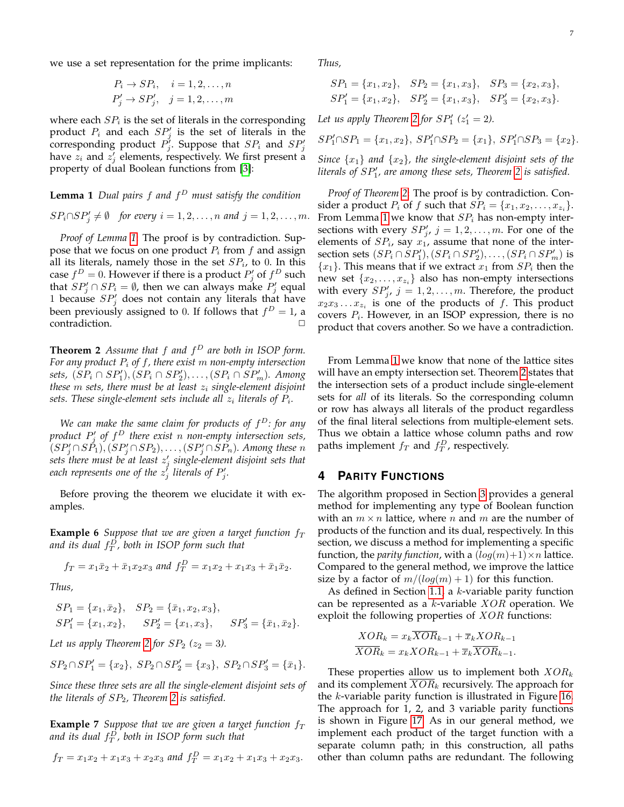we use a set representation for the prime implicants:

$$
P_i \rightarrow SP_i, \quad i = 1, 2, \dots, n
$$
  

$$
P'_j \rightarrow SP'_j, \quad j = 1, 2, \dots, m
$$

where each  $SP_i$  is the set of literals in the corresponding product  $P_i$  and each  $SP'_j$  is the set of literals in the corresponding product  $P'_j$ . Suppose that  $SP_i$  and  $SP'_j$ have  $z_i$  and  $z'_j$  elements, respectively. We first present a property of dual Boolean functions from [\[3\]](#page-12-2):

# **Lemma 1** *Dual pairs* f *and* f <sup>D</sup> *must satisfy the condition*

$$
SP_i \cap SP'_j \neq \emptyset
$$
 for every  $i = 1, 2, ..., n$  and  $j = 1, 2, ..., m$ .

*Proof of Lemma [1](#page-6-1)*: The proof is by contradiction. Suppose that we focus on one product  $P_i$  from  $f$  and assign all its literals, namely those in the set  $SP_i$ , to 0. In this case  $f^D = 0$ . However if there is a product  $P'_j$  of  $f^D$  such that  $SP'_j \cap SP_i = \emptyset$ , then we can always make  $P'_j$  equal 1 because  $SP'_{j}$  does not contain any literals that have been previously assigned to 0. If follows that  $f^D = 1$ , a contradiction.

<span id="page-6-2"></span>**Theorem 2** *Assume that* f *and* f <sup>D</sup> *are both in ISOP form. For any product* P<sup>i</sup> *of* f*, there exist* m *non-empty intersection* sets,  $(SP_i \cap SP'_1), (SP_i \cap SP'_2), \ldots, (SP_i \cap SP'_m)$ . Among *these*  $m$  *sets, there must be at least*  $z_i$  *single-element disjoint* sets. These single-element sets include all  $z_i$  literals of  $P_i$ .

*We can make the same claim for products of* f <sup>D</sup>*: for any product* P 0 j *of* f <sup>D</sup> *there exist* n *non-empty intersection sets,*  $(SP_j' \cap SP_1), (SP_j' \cap SP_2), \ldots, (SP_j' \cap SP_n)$ . Among these n *sets there must be at least* z 0 j *single-element disjoint sets that* each represents one of the  $z_j^j$  literals of  $P'_j$ .

Before proving the theorem we elucidate it with examples.

**Example 6** *Suppose that we are given a target function*  $f_T$ and its dual  $f_T^D$ , both in ISOP form such that

$$
f_T = x_1 \bar{x}_2 + \bar{x}_1 x_2 x_3
$$
 and  $f_T^D = x_1 x_2 + x_1 x_3 + \bar{x}_1 \bar{x}_2$ .

*Thus,*

$$
SP_1 = \{x_1, \bar{x}_2\}, \quad SP_2 = \{\bar{x}_1, x_2, x_3\},
$$
  
\n $SP'_1 = \{x_1, x_2\}, \quad SP'_2 = \{x_1, x_3\}, \quad SP'_3 = \{\bar{x}_1, \bar{x}_2\}.$ 

*Let us apply Theorem [2](#page-6-2) for*  $SP_2$  *(* $z_2 = 3$ *).* 

$$
SP_2 \cap SP'_1 = \{x_2\}, \ SP_2 \cap SP'_2 = \{x_3\}, \ SP_2 \cap SP'_3 = \{\bar{x}_1\}.
$$

*Since these three sets are all the single-element disjoint sets of the literals of* SP2*, Theorem [2](#page-6-2) is satisfied.*

**Example 7** *Suppose that we are given a target function*  $f_T$ *and its dual* f D T *, both in ISOP form such that*

$$
f_T = x_1x_2 + x_1x_3 + x_2x_3
$$
 and  $f_T^D = x_1x_2 + x_1x_3 + x_2x_3$ .

*Thus,*

$$
SP_1 = \{x_1, x_2\},
$$
  $SP_2 = \{x_1, x_3\},$   $SP_3 = \{x_2, x_3\},$   
\n $SP'_1 = \{x_1, x_2\},$   $SP'_2 = \{x_1, x_3\},$   $SP'_3 = \{x_2, x_3\}.$ 

Let us apply Theorem [2](#page-6-2) for  $SP'_1$  ( $z'_1 = 2$ ).

$$
SP'_1 \cap SP_1 = \{x_1, x_2\}, \ SP'_1 \cap SP_2 = \{x_1\}, \ SP'_1 \cap SP_3 = \{x_2\}.
$$

<span id="page-6-1"></span>*Since*  $\{x_1\}$  *and*  $\{x_2\}$ *, the single-element disjoint sets of the literals of SP'<sub>1</sub>, are among these sets, Theorem [2](#page-6-2) is satisfied.* 

*Proof of Theorem [2](#page-6-2)*: The proof is by contradiction. Consider a product  $P_i$  of  $f$  such that  $SP_i = \{x_1, x_2, \ldots, x_{z_i}\}.$ From Lemma [1](#page-6-1) we know that  $SP_i$  has non-empty intersections with every  $SP'_{j}$ ,  $j = 1, 2, ..., m$ . For one of the elements of  $SP_i$ , say  $x_1$ , assume that none of the intersection sets  $(SP_i \cap \overline{SP'_1}), (SP_i \cap \overline{SP'_2}), \ldots, (SP_i \cap \overline{SP'_m})$  is  ${x_1}$ . This means that if we extract  ${x_1}$  from  $SP_i$  then the new set  $\{x_2,\ldots,x_{z_i}\}$  also has non-empty intersections with every  $SP'_{j}$ ,  $j = 1, 2, ..., m$ . Therefore, the product  $x_2x_3 \ldots x_{z_i}$  is one of the products of f. This product covers  $P_i$ . However, in an ISOP expression, there is no product that covers another. So we have a contradiction.

From Lemma [1](#page-6-1) we know that none of the lattice sites will have an empty intersection set. Theorem [2](#page-6-2) states that the intersection sets of a product include single-element sets for *all* of its literals. So the corresponding column or row has always all literals of the product regardless of the final literal selections from multiple-element sets. Thus we obtain a lattice whose column paths and row paths implement  $f_T$  and  $f_T^D$ , respectively.

# <span id="page-6-0"></span>**4 PARITY FUNCTIONS**

The algorithm proposed in Section [3](#page-3-0) provides a general method for implementing any type of Boolean function with an  $m \times n$  lattice, where n and m are the number of products of the function and its dual, respectively. In this section, we discuss a method for implementing a specific function, the *parity function*, with a  $(log(m)+1) \times n$  lattice. Compared to the general method, we improve the lattice size by a factor of  $m/(log(m) + 1)$  for this function.

As defined in Section [1.1,](#page-1-2) a k-variable parity function can be represented as a  $k$ -variable  $XOR$  operation. We exploit the following properties of XOR functions:

$$
XOR_k = x_k XOR_{k-1} + \overline{x}_k XOR_{k-1}
$$

$$
\overline{XOR}_k = x_k XOR_{k-1} + \overline{x}_k \overline{XOR}_{k-1}.
$$

These properties allow us to implement both  $XOR_k$ and its complement  $XOR_k$  recursively. The approach for the  $k$ -variable parity function is illustrated in Figure [16.](#page-7-1) The approach for 1, 2, and 3 variable parity functions is shown in Figure [17.](#page-7-2) As in our general method, we implement each product of the target function with a separate column path; in this construction, all paths other than column paths are redundant. The following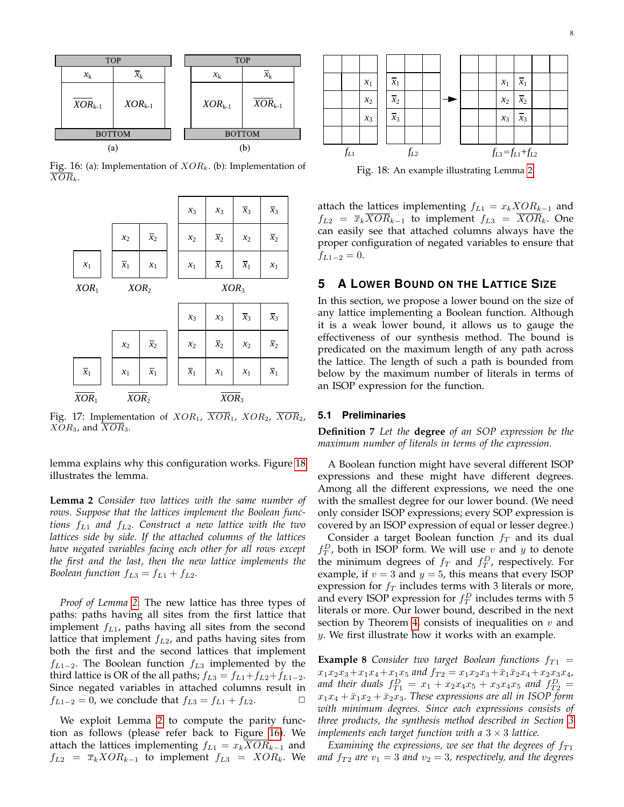<span id="page-7-1"></span>

<span id="page-7-2"></span>Fig. 16: (a): Implementation of  $XOR_k$ . (b): Implementation of  $\overline{XOR}_k$ .



Fig. 17: Implementation of  $XOR_1$ ,  $\overline{XOR}_1$ ,  $XOR_2$ ,  $\overline{XOR}_2$ ,  $XOR<sub>3</sub>$ , and  $\overline{XOR}<sub>3</sub>$ .

lemma explains why this configuration works. Figure [18](#page-7-3) illustrates the lemma.

<span id="page-7-4"></span>**Lemma 2** *Consider two lattices with the same number of rows. Suppose that the lattices implement the Boolean functions* fL<sup>1</sup> *and* fL2*. Construct a new lattice with the two lattices side by side. If the attached columns of the lattices have negated variables facing each other for all rows except the first and the last, then the new lattice implements the Boolean function*  $f_{L3} = f_{L1} + f_{L2}$ .

*Proof of Lemma [2](#page-7-4)*: The new lattice has three types of paths: paths having all sites from the first lattice that implement  $f_{L1}$ , paths having all sites from the second lattice that implement  $f_{L2}$ , and paths having sites from both the first and the second lattices that implement  $f_{L1-2}$ . The Boolean function  $f_{L3}$  implemented by the third lattice is OR of the all paths;  $f_{L3} = f_{L1} + f_{L2} + f_{L1-2}$ . Since negated variables in attached columns result in  $f_{L1-2} = 0$ , we conclude that  $f_{L3} = f_{L1} + f_{L2}$ .

We exploit Lemma [2](#page-7-4) to compute the parity function as follows (please refer back to Figure [16\)](#page-7-1). We attach the lattices implementing  $f_{L1} = x_k XOR_{k-1}$  and

<span id="page-7-3"></span>

Fig. 18: An example illustrating Lemma [2.](#page-7-4)

attach the lattices implementing  $f_{L1} = x_kXOR_{k-1}$  and  $f_{L2} = \overline{x}_k \overline{XOR}_{k-1}$  to implement  $f_{L3} = \overline{XOR}_k$ . One can easily see that attached columns always have the proper configuration of negated variables to ensure that  $f_{L1-2} = 0.$ 

## <span id="page-7-0"></span>**5 A LOWER BOUND ON THE LATTICE SIZE**

In this section, we propose a lower bound on the size of any lattice implementing a Boolean function. Although it is a weak lower bound, it allows us to gauge the effectiveness of our synthesis method. The bound is predicated on the maximum length of any path across the lattice. The length of such a path is bounded from below by the maximum number of literals in terms of an ISOP expression for the function.

#### **5.1 Preliminaries**

**Definition 7** *Let the* **degree** *of an SOP expression be the maximum number of literals in terms of the expression.*

A Boolean function might have several different ISOP expressions and these might have different degrees. Among all the different expressions, we need the one with the smallest degree for our lower bound. (We need only consider ISOP expressions; every SOP expression is covered by an ISOP expression of equal or lesser degree.)

Consider a target Boolean function  $f_T$  and its dual  $f_T^D$ , both in ISOP form. We will use v and y to denote the minimum degrees of  $f_T$  and  $f_T^D$ , respectively. For example, if  $v = 3$  and  $y = 5$ , this means that every ISOP expression for  $f_T$  includes terms with 3 literals or more, and every ISOP expression for  $f_T^D$  includes terms with 5 literals or more. Our lower bound, described in the next section by Theorem [4,](#page-10-2) consists of inequalities on  $v$  and y. We first illustrate how it works with an example.

<span id="page-7-5"></span>**Example 8** *Consider two target Boolean functions*  $f_{T1}$  =  $x_1x_2x_3+x_1x_4+x_1x_5$  and  $f_{T2} = x_1x_2x_3+\bar{x}_1\bar{x}_2x_4+x_2x_3x_4$ , and their duals  $f_{T1}^D = x_1 + x_2x_4x_5 + x_3x_4x_5$  and  $f_{T2}^D =$  $x_1x_4 + \bar{x}_1x_2 + \bar{x}_2x_3$ . These expressions are all in ISOP form *with minimum degrees. Since each expressions consists of three products, the synthesis method described in Section [3](#page-3-0) implements each target function with a* 3 × 3 *lattice.*

*Examining the expressions, we see that the degrees of*  $f_{T1}$ *and*  $f_{T2}$  *are*  $v_1 = 3$  *and*  $v_2 = 3$ *, respectively, and the degrees*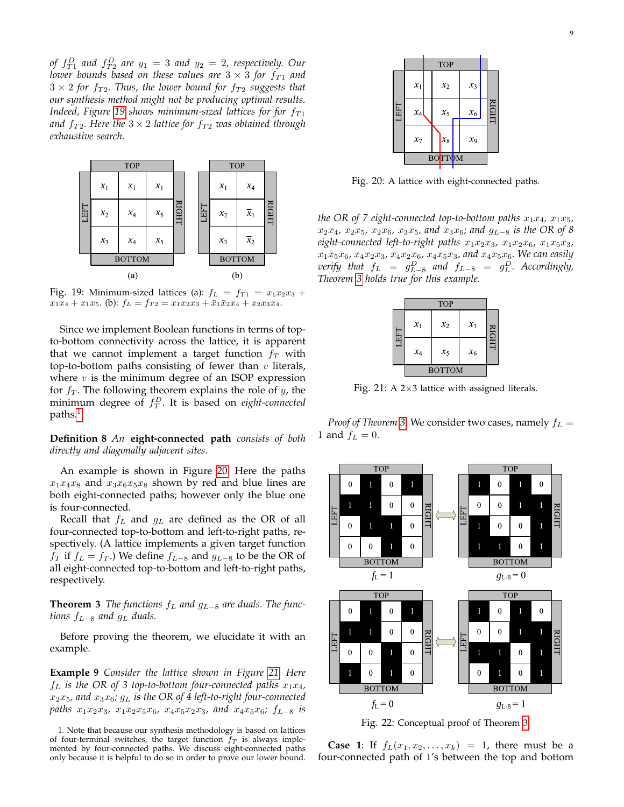*of*  $f_{T1}^D$  and  $f_{T2}^D$  are  $y_1 = 3$  and  $y_2 = 2$ , respectively. Our *lower bounds based on these values are*  $3 \times 3$  *for*  $f_{T1}$  *and*  $3 \times 2$  for  $f_{T2}$ . Thus, the lower bound for  $f_{T2}$  suggests that *our synthesis method might not be producing optimal results. Indeed, Figure* [19](#page-8-0) *shows minimum-sized lattices for for*  $f_{T1}$ *and*  $f_{T2}$ *. Here the*  $3 \times 2$  *lattice for*  $f_{T2}$  *was obtained through exhaustive search.*

<span id="page-8-0"></span>

Fig. 19: Minimum-sized lattices (a):  $f_L = f_{T1} = x_1x_2x_3 +$  $x_1x_4 + x_1x_5$ . (b):  $f_L = f_{T2} = x_1x_2x_3 + \bar{x}_1\bar{x}_2x_4 + x_2x_3x_4$ .

Since we implement Boolean functions in terms of topto-bottom connectivity across the lattice, it is apparent that we cannot implement a target function  $f<sub>T</sub>$  with top-to-bottom paths consisting of fewer than  $v$  literals, where  $v$  is the minimum degree of an ISOP expression for  $f<sub>T</sub>$ . The following theorem explains the role of y, the minimum degree of f D T . It is based on *eight-connected* paths.<sup>[1](#page-8-1)</sup>

#### **Definition 8** *An* **eight-connected path** *consists of both directly and diagonally adjacent sites.*

An example is shown in Figure [20.](#page-8-2) Here the paths  $x_1x_4x_8$  and  $x_3x_6x_5x_8$  shown by red and blue lines are both eight-connected paths; however only the blue one is four-connected.

Recall that  $f_L$  and  $g_L$  are defined as the OR of all four-connected top-to-bottom and left-to-right paths, respectively. (A lattice implements a given target function  $f_T$  if  $f_L = f_T$ .) We define  $f_{L-8}$  and  $g_{L-8}$  to be the OR of all eight-connected top-to-bottom and left-to-right paths, respectively.

### <span id="page-8-4"></span>**Theorem 3** *The functions*  $f<sub>L</sub>$  *and*  $g<sub>L−8</sub>$  *are duals. The functions*  $f_{L-8}$  *and*  $g_L$  *duals.*

Before proving the theorem, we elucidate it with an example.

**Example 9** *Consider the lattice shown in Figure [21.](#page-8-3) Here*  $f_L$  *is the OR of 3 top-to-bottom four-connected paths*  $x_1x_4$ ,  $x_2x_5$ , and  $x_3x_6$ ;  $g_L$  is the OR of 4 left-to-right four-connected *paths*  $x_1x_2x_3$ ,  $x_1x_2x_5x_6$ ,  $x_4x_5x_2x_3$ , and  $x_4x_5x_6$ ;  $f_{L-8}$  *is* 

<span id="page-8-2"></span>

Fig. 20: A lattice with eight-connected paths.

*the OR of 7 eight-connected top-to-bottom paths*  $x_1x_4$ ,  $x_1x_5$ , x2x4*,* x2x5*,* x2x6*,* x3x5*, and* x3x6*; and* gL−<sup>8</sup> *is the OR of 8*  $eight$ -connected left-to-right paths  $x_1x_2x_3$ ,  $x_1x_2x_6$ ,  $x_1x_5x_3$ ,  $x_1x_5x_6, x_4x_2x_3, x_4x_2x_6, x_4x_5x_3,$  and  $x_4x_5x_6$ *. We can easily*  $$ *Theorem [3](#page-8-4) holds true for this example.*

<span id="page-8-3"></span>

|     | <b>TOP</b>    |         |       |   |  |  |
|-----|---------------|---------|-------|---|--|--|
| EFT | $x_1$         | $x_2$   | $x_3$ | Ξ |  |  |
|     | $x_4$         | $x_{5}$ | $x_6$ | Ì |  |  |
|     | <b>BOTTOM</b> |         |       |   |  |  |

Fig. 21: A  $2\times3$  lattice with assigned literals.

*Proof of Theorem* [3](#page-8-4): We consider two cases, namely  $f_L$  = 1 and  $f_L = 0$ .

<span id="page-8-5"></span>

Fig. 22: Conceptual proof of Theorem [3.](#page-8-4)

**Case 1:** If  $f_L(x_1, x_2, \ldots, x_k) = 1$ , there must be a four-connected path of 1's between the top and bottom

<span id="page-8-1"></span><sup>1.</sup> Note that because our synthesis methodology is based on lattices of four-terminal switches, the target function  $f_T$  is always implemented by four-connected paths. We discuss eight-connected paths only because it is helpful to do so in order to prove our lower bound.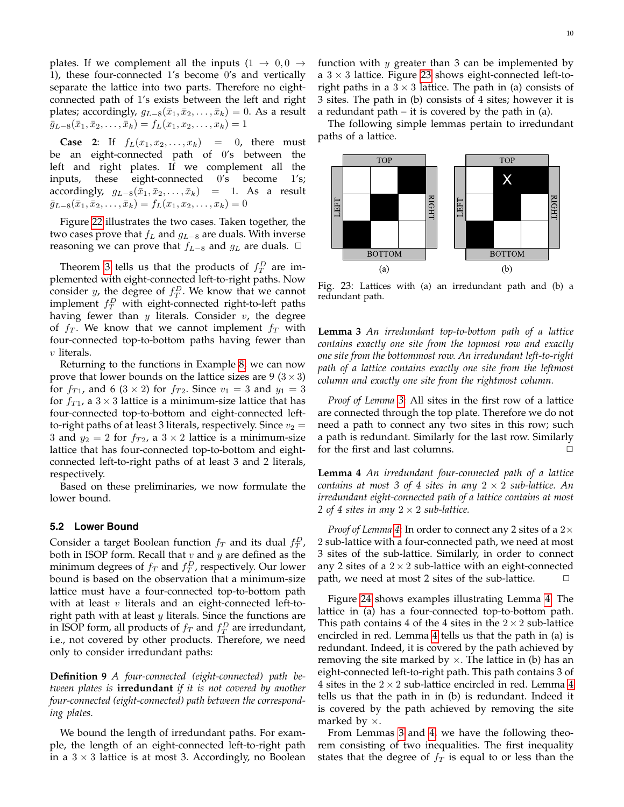plates. If we complement all the inputs  $(1 \rightarrow 0, 0 \rightarrow$ 1), these four-connected 1's become 0's and vertically separate the lattice into two parts. Therefore no eightconnected path of 1's exists between the left and right plates; accordingly,  $g_{L-8}(\bar{x}_1, \bar{x}_2, \ldots, \bar{x}_k) = 0$ . As a result  $\bar{g}_{L-8}(\bar{x}_1, \bar{x}_2, \ldots, \bar{x}_k) = f_L(x_1, x_2, \ldots, x_k) = 1$ 

**Case 2:** If  $f_L(x_1, x_2, ..., x_k) = 0$ , there must be an eight-connected path of 0's between the left and right plates. If we complement all the inputs, these eight-connected 0's become 1's; accordingly,  $g_{L-8}(\bar{x}_1, \bar{x}_2, \ldots, \bar{x}_k)$  = 1. As a result  $\bar{g}_{L-8}(\bar{x}_1, \bar{x}_2, \ldots, \bar{x}_k) = f_L(x_1, x_2, \ldots, x_k) = 0$ 

Figure [22](#page-8-5) illustrates the two cases. Taken together, the two cases prove that  $f<sub>L</sub>$  and  $g<sub>L−8</sub>$  are duals. With inverse reasoning we can prove that  $f_{L-8}$  and  $g_L$  are duals.  $□$ 

Theorem [3](#page-8-4) tells us that the products of  $f_T^D$  are implemented with eight-connected left-to-right paths. Now consider *y*, the degree of  $f_T^D$ . We know that we cannot implement  $f_T^D$  with eight-connected right-to-left paths having fewer than  $y$  literals. Consider  $v$ , the degree of  $f_T$ . We know that we cannot implement  $f_T$  with four-connected top-to-bottom paths having fewer than  $v$  literals.

Returning to the functions in Example [8,](#page-7-5) we can now prove that lower bounds on the lattice sizes are 9 ( $3 \times 3$ ) for  $f_{T1}$ , and 6 (3 × 2) for  $f_{T2}$ . Since  $v_1 = 3$  and  $y_1 = 3$ for  $f_{T1}$ , a  $3 \times 3$  lattice is a minimum-size lattice that has four-connected top-to-bottom and eight-connected leftto-right paths of at least 3 literals, respectively. Since  $v_2 =$ 3 and  $y_2 = 2$  for  $f_{T2}$ , a  $3 \times 2$  lattice is a minimum-size lattice that has four-connected top-to-bottom and eightconnected left-to-right paths of at least 3 and 2 literals, respectively.

Based on these preliminaries, we now formulate the lower bound.

#### **5.2 Lower Bound**

Consider a target Boolean function  $f_T$  and its dual  $f_T^D$ , both in ISOP form. Recall that  $v$  and  $y$  are defined as the minimum degrees of  $f_T$  and  $f_T^D$ , respectively. Our lower bound is based on the observation that a minimum-size lattice must have a four-connected top-to-bottom path with at least  $v$  literals and an eight-connected left-toright path with at least  $y$  literals. Since the functions are in ISOP form, all products of  $f_T$  and  $f_T^D$  are irredundant, i.e., not covered by other products. Therefore, we need only to consider irredundant paths:

**Definition 9** *A four-connected (eight-connected) path between plates is* **irredundant** *if it is not covered by another four-connected (eight-connected) path between the corresponding plates.*

We bound the length of irredundant paths. For example, the length of an eight-connected left-to-right path in a  $3 \times 3$  lattice is at most 3. Accordingly, no Boolean function with  $y$  greater than 3 can be implemented by a  $3 \times 3$  lattice. Figure [23](#page-9-0) shows eight-connected left-toright paths in a  $3 \times 3$  lattice. The path in (a) consists of 3 sites. The path in (b) consists of 4 sites; however it is a redundant path – it is covered by the path in (a).

The following simple lemmas pertain to irredundant paths of a lattice.

<span id="page-9-0"></span>

Fig. 23: Lattices with (a) an irredundant path and (b) a redundant path.

<span id="page-9-1"></span>**Lemma 3** *An irredundant top-to-bottom path of a lattice contains exactly one site from the topmost row and exactly one site from the bottommost row. An irredundant left-to-right path of a lattice contains exactly one site from the leftmost column and exactly one site from the rightmost column.*

*Proof of Lemma [3](#page-9-1)*: All sites in the first row of a lattice are connected through the top plate. Therefore we do not need a path to connect any two sites in this row; such a path is redundant. Similarly for the last row. Similarly for the first and last columns.  $\Box$ 

<span id="page-9-2"></span>**Lemma 4** *An irredundant four-connected path of a lattice contains at most 3 of 4 sites in any*  $2 \times 2$  *sub-lattice. An irredundant eight-connected path of a lattice contains at most 2 of 4 sites in any*  $2 \times 2$  *sub-lattice.* 

*Proof of Lemma [4](#page-9-2)*: In order to connect any 2 sites of a 2× 2 sub-lattice with a four-connected path, we need at most 3 sites of the sub-lattice. Similarly, in order to connect any 2 sites of a  $2 \times 2$  sub-lattice with an eight-connected path, we need at most 2 sites of the sub-lattice.  $\Box$ 

Figure [24](#page-10-3) shows examples illustrating Lemma [4.](#page-9-2) The lattice in (a) has a four-connected top-to-bottom path. This path contains 4 of the 4 sites in the  $2 \times 2$  sub-lattice encircled in red. Lemma [4](#page-9-2) tells us that the path in (a) is redundant. Indeed, it is covered by the path achieved by removing the site marked by  $\times$ . The lattice in (b) has an eight-connected left-to-right path. This path contains 3 of 4 sites in the  $2 \times 2$  sub-lattice encircled in red. Lemma [4](#page-9-2) tells us that the path in in (b) is redundant. Indeed it is covered by the path achieved by removing the site marked by  $\times$ .

From Lemmas [3](#page-9-1) and [4,](#page-9-2) we have the following theorem consisting of two inequalities. The first inequality states that the degree of  $f_T$  is equal to or less than the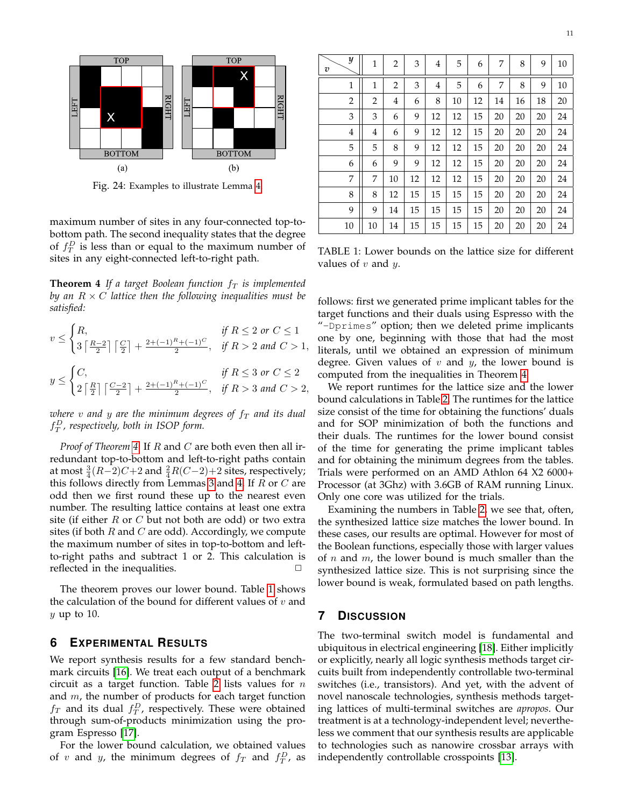<span id="page-10-3"></span>

Fig. 24: Examples to illustrate Lemma [4.](#page-9-2)

maximum number of sites in any four-connected top-tobottom path. The second inequality states that the degree of  $f_T^D$  is less than or equal to the maximum number of sites in any eight-connected left-to-right path.

<span id="page-10-2"></span>**Theorem 4** *If a target Boolean function*  $f<sub>T</sub>$  *is implemented by an*  $R \times C$  *lattice then the following inequalities must be satisfied:*

$$
v \leq \begin{cases} R, & \text{if } R \leq 2 \text{ or } C \leq 1 \\ 3\left\lceil \frac{R-2}{2} \right\rceil \left\lceil \frac{C}{2} \right\rceil + \frac{2+(-1)^R + (-1)^C}{2}, & \text{if } R > 2 \text{ and } C > 1, \end{cases}
$$
\n
$$
y \leq \begin{cases} C, & \text{if } R \leq 3 \text{ or } C \leq 2 \\ 2\left\lceil \frac{R}{2} \right\rceil \left\lceil \frac{C-2}{2} \right\rceil + \frac{2+(-1)^R + (-1)^C}{2}, & \text{if } R > 3 \text{ and } C > 2, \end{cases}
$$

*where*  $v$  and  $y$  are the minimum degrees of  $f<sub>T</sub>$  and its dual f D T *, respectively, both in ISOP form.*

*Proof of Theorem [4](#page-10-2)*: If R and C are both even then all irredundant top-to-bottom and left-to-right paths contain at most  $\frac{3}{4}(R-2)C+2$  and  $\frac{2}{4}R(C-2)+2$  sites, respectively; this follows directly from Lemmas [3](#page-9-1) and [4.](#page-9-2) If  $R$  or  $C$  are odd then we first round these up to the nearest even number. The resulting lattice contains at least one extra site (if either  $R$  or  $C$  but not both are odd) or two extra sites (if both  $R$  and  $C$  are odd). Accordingly, we compute the maximum number of sites in top-to-bottom and leftto-right paths and subtract 1 or 2. This calculation is reflected in the inequalities.  $\Box$ 

The theorem proves our lower bound. Table [1](#page-10-4) shows the calculation of the bound for different values of  $v$  and  $y$  up to 10.

#### <span id="page-10-0"></span>**6 EXPERIMENTAL RESULTS**

We report synthesis results for a few standard benchmark circuits [\[16\]](#page-12-14). We treat each output of a benchmark circuit as a target function. Table [2](#page-11-0) lists values for  $n$ and  $m$ , the number of products for each target function  $f_T$  and its dual  $f_T^D$ , respectively. These were obtained through sum-of-products minimization using the program Espresso [\[17\]](#page-12-15).

For the lower bound calculation, we obtained values of v and y, the minimum degrees of  $f_T$  and  $f_T^D$ , as

<span id="page-10-4"></span>

| $\boldsymbol{y}$<br>$\boldsymbol{v}$ | $\mathbf{1}$ | $\overline{2}$ | 3  | $\overline{4}$ | 5  | 6  | 7  | 8  | 9  | 10 |
|--------------------------------------|--------------|----------------|----|----------------|----|----|----|----|----|----|
| $\mathbf{1}$                         | 1            | $\overline{2}$ | 3  | $\overline{4}$ | 5  | 6  | 7  | 8  | 9  | 10 |
| $\overline{2}$                       | 2            | 4              | 6  | 8              | 10 | 12 | 14 | 16 | 18 | 20 |
| 3                                    | 3            | 6              | 9  | 12             | 12 | 15 | 20 | 20 | 20 | 24 |
| $\overline{4}$                       | 4            | 6              | 9  | 12             | 12 | 15 | 20 | 20 | 20 | 24 |
| 5                                    | 5            | 8              | 9  | 12             | 12 | 15 | 20 | 20 | 20 | 24 |
| 6                                    | 6            | 9              | 9  | 12             | 12 | 15 | 20 | 20 | 20 | 24 |
| 7                                    | 7            | 10             | 12 | 12             | 12 | 15 | 20 | 20 | 20 | 24 |
| 8                                    | 8            | 12             | 15 | 15             | 15 | 15 | 20 | 20 | 20 | 24 |
| 9                                    | 9            | 14             | 15 | 15             | 15 | 15 | 20 | 20 | 20 | 24 |
| 10                                   | 10           | 14             | 15 | 15             | 15 | 15 | 20 | 20 | 20 | 24 |

TABLE 1: Lower bounds on the lattice size for different values of  $v$  and  $y$ .

follows: first we generated prime implicant tables for the target functions and their duals using Espresso with the "-Dprimes" option; then we deleted prime implicants one by one, beginning with those that had the most literals, until we obtained an expression of minimum degree. Given values of  $v$  and  $y$ , the lower bound is computed from the inequalities in Theorem [4.](#page-10-2)

We report runtimes for the lattice size and the lower bound calculations in Table [2.](#page-11-0) The runtimes for the lattice size consist of the time for obtaining the functions' duals and for SOP minimization of both the functions and their duals. The runtimes for the lower bound consist of the time for generating the prime implicant tables and for obtaining the minimum degrees from the tables. Trials were performed on an AMD Athlon 64 X2 6000+ Processor (at 3Ghz) with 3.6GB of RAM running Linux. Only one core was utilized for the trials.

Examining the numbers in Table [2,](#page-11-0) we see that, often, the synthesized lattice size matches the lower bound. In these cases, our results are optimal. However for most of the Boolean functions, especially those with larger values of *n* and *m*, the lower bound is much smaller than the synthesized lattice size. This is not surprising since the lower bound is weak, formulated based on path lengths.

# <span id="page-10-1"></span>**7 DISCUSSION**

The two-terminal switch model is fundamental and ubiquitous in electrical engineering [\[18\]](#page-12-16). Either implicitly or explicitly, nearly all logic synthesis methods target circuits built from independently controllable two-terminal switches (i.e., transistors). And yet, with the advent of novel nanoscale technologies, synthesis methods targeting lattices of multi-terminal switches are *apropos*. Our treatment is at a technology-independent level; nevertheless we comment that our synthesis results are applicable to technologies such as nanowire crossbar arrays with independently controllable crosspoints [\[13\]](#page-12-11).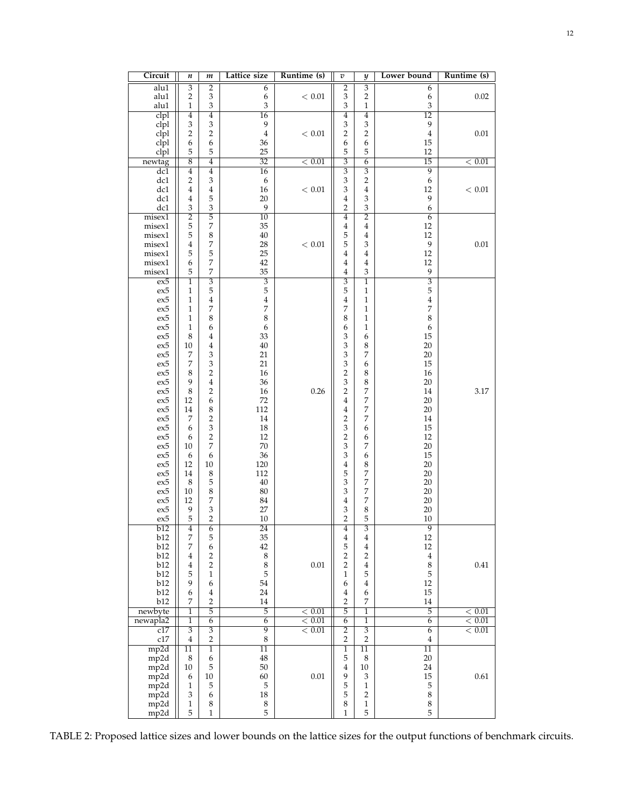<span id="page-11-0"></span>

| Circuit                     | n                       | m                         | Lattice size     | Runtime (s) | $\boldsymbol{v}$          | $\overline{y}$            | Lower bound                | Runtime (s) |
|-----------------------------|-------------------------|---------------------------|------------------|-------------|---------------------------|---------------------------|----------------------------|-------------|
| alu1                        | $\overline{\mathbf{3}}$ | $\overline{2}$            | 6                |             | $\overline{2}$            | $\overline{3}$            | 6                          |             |
| alu1                        | $\sqrt{2}$              | $\mathfrak z$             | 6                | < 0.01      | 3                         | $\sqrt{2}$                | 6                          | 0.02        |
| alu1                        | $\mathbf{1}$            | $\mathfrak z$             | $\mathfrak z$    |             | 3                         | $\,1\,$                   | $\ensuremath{\mathsf{3}}$  |             |
| clpl                        | 4                       | $\overline{4}$            | $\overline{16}$  |             | $\overline{4}$            | $\overline{4}$            | $\overline{12}$            |             |
| clpl                        | 3                       | $\mathfrak z$             | 9                |             | 3                         | $\ensuremath{\mathbf{3}}$ | 9                          |             |
| cl <sub>p1</sub>            | $\overline{2}$          | $\overline{2}$            | $\bf 4$          | < 0.01      | $\overline{\mathbf{c}}$   | $\,2$                     | $\bf{4}$                   | 0.01        |
| clpl                        | 6                       | 6                         | 36               |             | 6                         | 6                         | 15                         |             |
| clpl                        | 5                       | 5                         | 25               |             | 5                         | 5                         | 12                         |             |
| newtag                      | $\overline{8}$          | $\overline{4}$            | $\overline{32}$  | < 0.01      | $\overline{3}$            | $\overline{6}$            | 15                         | < 0.01      |
| dc1                         | $\overline{4}$          | $\overline{4}$            | $\overline{16}$  |             | $\overline{\overline{3}}$ | $\overline{\overline{3}}$ | $\overline{9}$             |             |
| dc1                         | $\overline{2}$          | $\mathfrak z$             | 6                |             | 3                         | $\sqrt{2}$                | 6                          |             |
| dc1                         | 4                       | 4                         | 16               | < 0.01      | 3                         | $\bf 4$                   | 12                         | < 0.01      |
| dc1                         | 4                       | 5                         | 20               |             | 4                         | 3                         | 9                          |             |
| dc1                         | 3                       | $\mathfrak z$             | 9                |             | $\overline{2}$            | $\ensuremath{\mathsf{3}}$ | 6                          |             |
| misex1                      | $\overline{2}$          | $\overline{5}$            | $\overline{10}$  |             | $\overline{4}$            | $\overline{2}$            | $\overline{6}$             |             |
| misex1                      | 5                       | 7                         | 35               |             | 4                         | $\bf{4}$                  | 12                         |             |
| misex1                      | 5                       | $\,8\,$                   | 40               |             | 5                         | $\bf{4}$                  | 12                         |             |
| misex1                      | $\bf{4}$                | 7                         | 28               | < 0.01      | 5                         | $\ensuremath{\mathsf{3}}$ | 9                          | 0.01        |
| misex1                      | 5                       | 5                         | 25               |             | 4                         | $\overline{4}$            | 12                         |             |
| misex1                      | 6                       | 7                         | 42               |             | 4                         | $\overline{4}$            | 12                         |             |
| $misex1$                    | 5                       | 7                         | 35               |             | 4                         | $\ensuremath{\mathsf{3}}$ | 9                          |             |
| ex5                         | $\overline{1}$          | $\overline{\mathbf{3}}$   | $\overline{3}$   |             | $\overline{\overline{3}}$ | $\overline{1}$            | $\overline{3}$             |             |
| $ex5$                       |                         | 5                         | 5                |             | 5                         | $\,1$                     | 5                          |             |
|                             | 1                       |                           |                  |             |                           |                           |                            |             |
| ex5                         | 1                       | 4                         | $\bf 4$          |             | 4                         | $\,1\,$                   | $\bf{4}$<br>$\overline{7}$ |             |
| ex5                         | 1                       | 7                         | $\boldsymbol{7}$ |             | 7                         | $\,1\,$                   |                            |             |
| ex5                         | $\mathbf{1}$            | 8                         | $\,$ 8 $\,$      |             | 8                         | $\,1\,$                   | 8                          |             |
| ex5                         | 1                       | 6                         | 6                |             | 6                         | $\,1$                     | 6                          |             |
| ex5                         | $\,8\,$                 | 4                         | 33               |             | 3                         | 6                         | 15                         |             |
| $\mathop{\rm ex}\nolimits5$ | 10                      | 4                         | 40               |             | 3                         | $\,$ 8 $\,$               | 20                         |             |
| ex5                         | 7                       | $\mathfrak z$             | 21               |             | 3                         | $\overline{7}$            | $20\,$                     |             |
| ex5                         | 7                       | $\ensuremath{\mathsf{3}}$ | 21               |             | 3                         | 6                         | 15                         |             |
| ex5                         | 8                       | $\overline{2}$            | 16               |             | $\overline{c}$            | $\,8\,$                   | 16                         |             |
| ex5                         | 9                       | $\overline{4}$            | 36               |             | 3                         | $\,$ 8 $\,$               | 20                         |             |
| ex5                         | $\,8\,$                 | $\overline{2}$            | 16               | 0.26        | $\overline{\mathbf{c}}$   | $\boldsymbol{7}$          | 14                         | 3.17        |
| ex5                         | 12                      | 6                         | 72               |             | 4                         | $\boldsymbol{7}$          | 20                         |             |
| ex5                         | 14                      | $\,8\,$                   | 112              |             | 4                         | $\boldsymbol{7}$          | $20\,$                     |             |
| ex5                         | 7                       | $\sqrt{2}$                | 14               |             | $\overline{\mathbf{c}}$   | $\boldsymbol{7}$          | 14                         |             |
| ex5                         | 6                       | $\ensuremath{\mathsf{3}}$ | 18               |             | 3                         | 6                         | 15                         |             |
| ex5                         | 6                       | $\sqrt{2}$                | 12               |             | $\overline{c}$            | 6                         | 12                         |             |
| ex5                         | 10                      | 7                         | $70\,$           |             | 3                         | 7                         | 20                         |             |
| ex5                         | 6                       | 6                         | 36               |             | 3                         | 6                         | 15                         |             |
| ex5                         | 12                      | 10                        | 120              |             | $\overline{4}$            | $\,8\,$                   | 20                         |             |
| ex5                         | 14                      | $\,8\,$                   | 112              |             | 5                         | $\boldsymbol{7}$          | 20                         |             |
| ex5                         | 8                       | 5                         | 40               |             | 3                         | $\boldsymbol{7}$          | 20                         |             |
| $\mathop{\rm ex}\nolimits5$ | 10                      | $\,$ 8 $\,$               | 80               |             | 3                         | $\boldsymbol{7}$          | 20                         |             |
| $\mathop{\rm ex}\nolimits5$ | 12                      | 7                         | 84               |             | $\overline{4}$            | $\boldsymbol{7}$          | 20                         |             |
| ex5                         | 9                       | $\mathfrak z$             | 27               |             | 3                         | $\,8\,$                   | 20                         |             |
| ex5                         | 5                       | $\overline{2}$            | 10               |             | $\overline{2}$            | 5                         | 10                         |             |
| b12                         | 4                       | 6                         | 24               |             | 4                         | $\overline{\mathbf{3}}$   | $\overline{9}$             |             |
| b12                         | 7                       | 5                         | 35               |             | $\overline{\mathbf{4}}$   | 4                         | 12                         |             |
| b12                         | 7                       | 6                         | 42               |             | 5                         | $\,4$                     | 12                         |             |
| b12                         | 4                       | $\boldsymbol{2}$          | $\,$ 8 $\,$      |             | $\overline{\mathbf{c}}$   | $\overline{\mathbf{c}}$   | $\bf{4}$                   |             |
| b12                         | 4                       | $\sqrt{2}$                | $\,8\,$          | $0.01\,$    | $\overline{\mathbf{c}}$   | $\bf 4$                   | $\,8\,$                    | $0.41\,$    |
| b12                         | 5                       | $\mathbf{1}$              | 5                |             | $\mathbf{1}$              | 5                         | $\mathbf 5$                |             |
| b12                         | 9                       | 6                         | 54               |             | 6                         | $\bf 4$                   | 12                         |             |
| b12                         | 6                       | 4                         | 24               |             | 4                         | 6                         | 15                         |             |
| b12                         | 7                       | $\overline{2}$            | 14               |             | $\overline{2}$            | 7                         | 14                         |             |
| newbyte                     | 1                       | 5                         | 5                | < 0.01      | 5                         | $\mathbf{1}$              | 5                          | < 0.01      |
| newapla2                    | $\overline{1}$          | $\overline{6}$            | $\overline{6}$   | < 0.01      | $\overline{6}$            | $\overline{1}$            | $\overline{6}$             | < 0.01      |
| c17                         | 3                       | $\overline{3}$            | 9                | < 0.01      | 2                         | $\overline{3}$            | 6                          | < 0.01      |
| $\rm c17$                   | 4                       | $\overline{2}$            | $\,$ 8 $\,$      |             | $\overline{2}$            | $\sqrt{2}$                | $\overline{4}$             |             |
|                             |                         | $\overline{1}$            | $\overline{11}$  |             |                           |                           | $\overline{11}$            |             |
| mp2d                        | $\overline{11}$         |                           |                  |             | $\mathbf{1}$              | $\overline{11}$           |                            |             |
| mp2d                        | 8                       | 6                         | $\rm 48$         |             | 5                         | $\,8\,$                   | $20\,$                     |             |
| mp2d                        | $10\,$                  | 5                         | $50\,$           |             | $\overline{4}$            | $10\,$                    | 24                         |             |
| mp2d                        | 6                       | 10                        | 60               | $0.01\,$    | 9                         | $\ensuremath{\mathbf{3}}$ | 15                         | 0.61        |
| mp2d                        | $\mathbf{1}$            | 5                         | 5                |             | 5                         | $\mathbf{1}$              | 5                          |             |
| mp2d                        | 3                       | 6                         | $18\,$           |             | 5                         | $\overline{c}$            | $\,8\,$                    |             |
| mp2d                        | $\mathbf{1}$            | 8                         | $\,$ 8 $\,$      |             | 8                         | $\mathbf{1}$              | $\,8\,$                    |             |
| mp2d                        | 5                       | 1                         | 5                |             | 1                         | 5                         | 5                          |             |

TABLE 2: Proposed lattice sizes and lower bounds on the lattice sizes for the output functions of benchmark circuits.